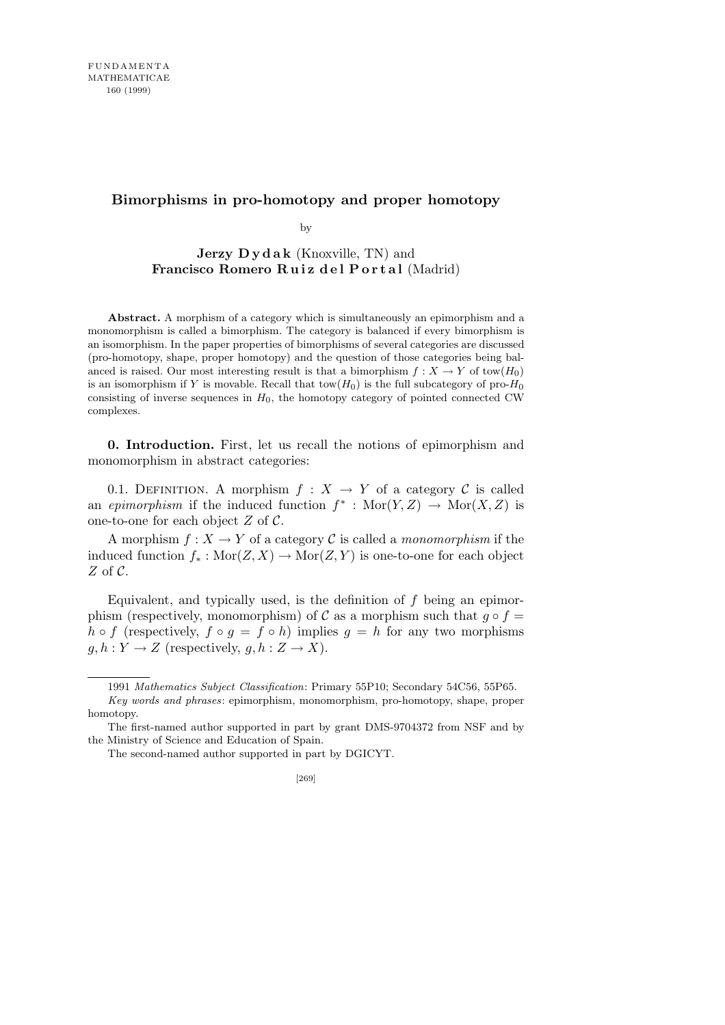## **Bimorphisms in pro-homotopy and proper homotopy**

by

## **Jerzy Dydak** (Knoxville, TN) and **Francisco Romero Ruiz del Portal** (Madrid)

**Abstract.** A morphism of a category which is simultaneously an epimorphism and a monomorphism is called a bimorphism. The category is balanced if every bimorphism is an isomorphism. In the paper properties of bimorphisms of several categories are discussed (pro-homotopy, shape, proper homotopy) and the question of those categories being balanced is raised. Our most interesting result is that a bimorphism  $f : X \to Y$  of tow( $H_0$ ) is an isomorphism if *Y* is movable. Recall that tow( $H_0$ ) is the full subcategory of pro- $H_0$ consisting of inverse sequences in *H*0, the homotopy category of pointed connected CW complexes.

**0. Introduction.** First, let us recall the notions of epimorphism and monomorphism in abstract categories:

0.1. DEFINITION. A morphism  $f: X \to Y$  of a category C is called an *epimorphism* if the induced function  $f^*$ : Mor $(Y, Z) \to$  Mor $(X, Z)$  is one-to-one for each object *Z* of *C*.

A morphism  $f: X \to Y$  of a category C is called a *monomorphism* if the induced function  $f_* : \text{Mor}(Z, X) \to \text{Mor}(Z, Y)$  is one-to-one for each object *Z* of *C*.

Equivalent, and typically used, is the definition of *f* being an epimorphism (respectively, monomorphism) of *C* as a morphism such that  $q \circ f =$  $h \circ f$  (respectively,  $f \circ g = f \circ h$ ) implies  $g = h$  for any two morphisms  $g, h: Y \to Z$  (respectively,  $g, h: Z \to X$ ).

<sup>1991</sup> *Mathematics Subject Classification*: Primary 55P10; Secondary 54C56, 55P65.

*Key words and phrases*: epimorphism, monomorphism, pro-homotopy, shape, proper homotopy.

The first-named author supported in part by grant DMS-9704372 from NSF and by the Ministry of Science and Education of Spain.

The second-named author supported in part by DGICYT.

<sup>[269]</sup>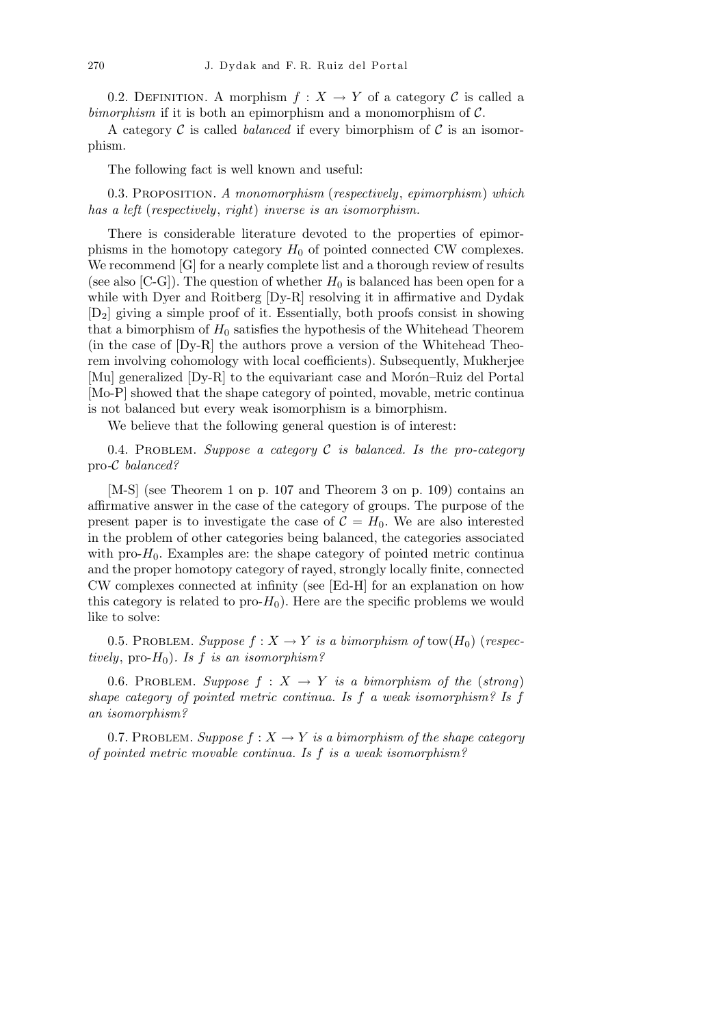0.2. DEFINITION. A morphism  $f: X \to Y$  of a category C is called a *bimorphism* if it is both an epimorphism and a monomorphism of *C*.

A category *C* is called *balanced* if every bimorphism of *C* is an isomorphism.

The following fact is well known and useful:

0.3. Proposition. *A monomorphism* (*respectively*, *epimorphism*) *which has a left* (*respectively*, *right*) *inverse is an isomorphism.*

There is considerable literature devoted to the properties of epimorphisms in the homotopy category  $H_0$  of pointed connected CW complexes. We recommend [G] for a nearly complete list and a thorough review of results (see also [C-G]). The question of whether  $H_0$  is balanced has been open for a while with Dyer and Roitberg [Dy-R] resolving it in affirmative and Dydak [D2] giving a simple proof of it. Essentially, both proofs consist in showing that a bimorphism of  $H_0$  satisfies the hypothesis of the Whitehead Theorem (in the case of [Dy-R] the authors prove a version of the Whitehead Theorem involving cohomology with local coefficients). Subsequently, Mukherjee [Mu] generalized [Dy-R] to the equivariant case and Morón–Ruiz del Portal [Mo-P] showed that the shape category of pointed, movable, metric continua is not balanced but every weak isomorphism is a bimorphism.

We believe that the following general question is of interest:

0.4. Problem. *Suppose a category C is balanced. Is the pro-category* pro*-C balanced?*

[M-S] (see Theorem 1 on p. 107 and Theorem 3 on p. 109) contains an affirmative answer in the case of the category of groups. The purpose of the present paper is to investigate the case of  $C = H_0$ . We are also interested in the problem of other categories being balanced, the categories associated with pro- $H_0$ . Examples are: the shape category of pointed metric continua and the proper homotopy category of rayed, strongly locally finite, connected CW complexes connected at infinity (see [Ed-H] for an explanation on how this category is related to pro- $H_0$ ). Here are the specific problems we would like to solve:

0.5. PROBLEM. *Suppose*  $f: X \to Y$  *is a bimorphism of* tow( $H_0$ ) (*respectively*, pro-*H*0)*. Is f is an isomorphism?*

0.6. PROBLEM. *Suppose*  $f : X \rightarrow Y$  *is a bimorphism of the (strong) shape category of pointed metric continua. Is f a weak isomorphism? Is f an isomorphism?*

0.7. PROBLEM. *Suppose*  $f: X \to Y$  *is a bimorphism of the shape category of pointed metric movable continua. Is f is a weak isomorphism?*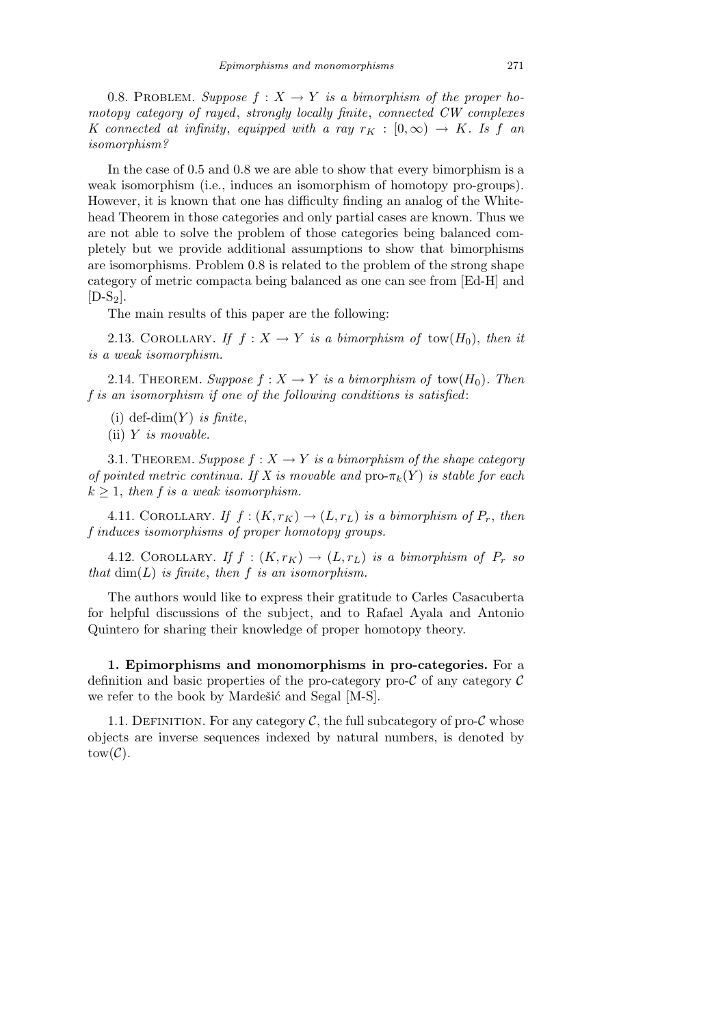0.8. PROBLEM. *Suppose*  $f: X \rightarrow Y$  *is a bimorphism of the proper homotopy category of rayed*, *strongly locally finite*, *connected CW complexes K* connected at infinity, equipped with a ray  $r_K : [0, \infty) \rightarrow K$ *.* Is *f* an *isomorphism?*

In the case of 0.5 and 0.8 we are able to show that every bimorphism is a weak isomorphism (i.e., induces an isomorphism of homotopy pro-groups). However, it is known that one has difficulty finding an analog of the Whitehead Theorem in those categories and only partial cases are known. Thus we are not able to solve the problem of those categories being balanced completely but we provide additional assumptions to show that bimorphisms are isomorphisms. Problem 0.8 is related to the problem of the strong shape category of metric compacta being balanced as one can see from [Ed-H] and  $[D-S_2]$ .

The main results of this paper are the following:

2.13. COROLLARY. If  $f: X \to Y$  is a bimorphism of tow( $H_0$ ), then it *is a weak isomorphism.*

2.14. THEOREM. *Suppose*  $f: X \rightarrow Y$  *is a bimorphism of* tow( $H_0$ ). Then *f is an isomorphism if one of the following conditions is satisfied*:

- (i) def-dim $(Y)$  *is finite*,
- (ii) *Y is movable.*

3.1. THEOREM. *Suppose*  $f: X \to Y$  *is a bimorphism of the shape category of pointed metric continua. If* X is movable and  $\text{pro-}\pi_k(Y)$  is stable for each  $k \geq 1$ , *then f is a weak isomorphism.* 

4.11. COROLLARY. If  $f:(K,r_K) \to (L,r_L)$  is a bimorphism of  $P_r$ , then *f induces isomorphisms of proper homotopy groups.*

4.12. COROLLARY. If  $f : (K, r_K) \rightarrow (L, r_L)$  is a bimorphism of  $P_r$  so *that*  $dim(L)$  *is finite, then*  $f$  *is an isomorphism.* 

The authors would like to express their gratitude to Carles Casacuberta for helpful discussions of the subject, and to Rafael Ayala and Antonio Quintero for sharing their knowledge of proper homotopy theory.

**1. Epimorphisms and monomorphisms in pro-categories.** For a definition and basic properties of the pro-category pro-*C* of any category *C* we refer to the book by Mardešić and Segal [M-S].

1.1. DEFINITION. For any category  $C$ , the full subcategory of pro- $C$  whose objects are inverse sequences indexed by natural numbers, is denoted by  $tow(\mathcal{C})$ .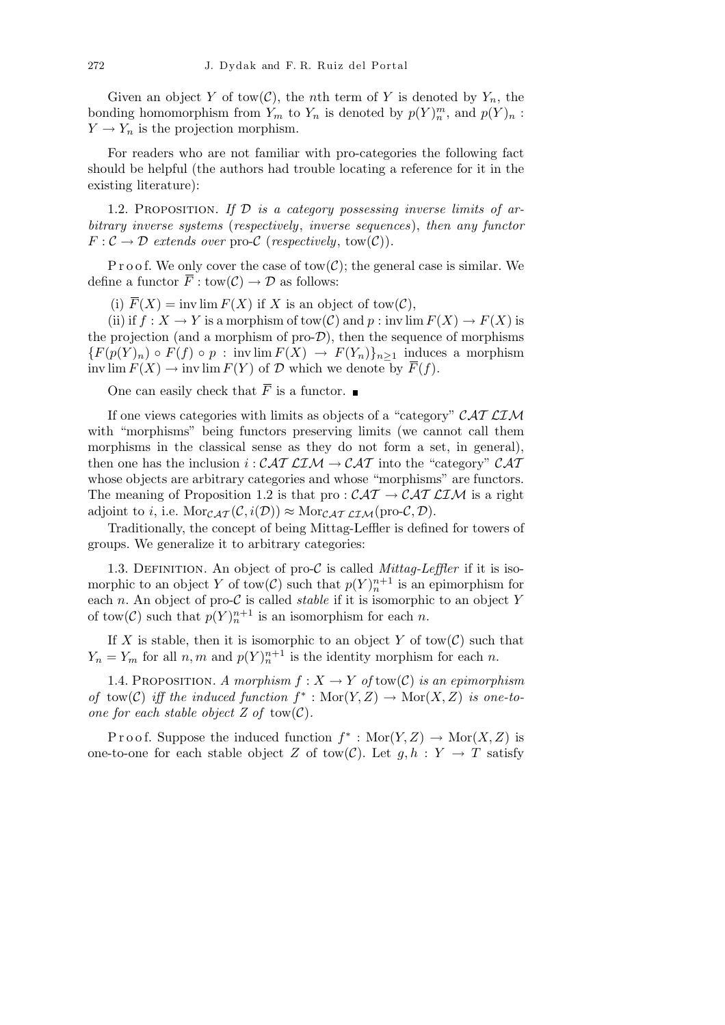Given an object *Y* of tow(*C*), the *n*th term of *Y* is denoted by  $Y_n$ , the bonding homomorphism from  $Y_m$  to  $Y_n$  is denoted by  $p(Y)^m_n$ , and  $p(Y)_n$ :  $Y \to Y_n$  is the projection morphism.

For readers who are not familiar with pro-categories the following fact should be helpful (the authors had trouble locating a reference for it in the existing literature):

1.2. Proposition. *If D is a category possessing inverse limits of arbitrary inverse systems* (*respectively*, *inverse sequences*), *then any functor*  $F: \mathcal{C} \to \mathcal{D}$  *extends over* pro- $\mathcal{C}$  (*respectively*, tow( $\mathcal{C}$ )).

P r o o f. We only cover the case of tow $(\mathcal{C})$ ; the general case is similar. We define a functor  $\overline{F}$  : tow( $\mathcal{C}$ )  $\rightarrow \mathcal{D}$  as follows:

(i)  $\overline{F}(X) = \text{inv}\lim F(X)$  if X is an object of tow( $\mathcal{C}$ ),

(ii) if  $f: X \to Y$  is a morphism of tow(C) and  $p: \text{inv}\lim F(X) \to F(X)$  is the projection (and a morphism of pro- $\mathcal{D}$ ), then the sequence of morphisms *{F*( $p(Y)_n$ ) ◦ *F*(*f*) ◦ *p* : inv lim *F*(*X*) → *F*( $Y_n$ )*}*<sub>*n*>1</sub> induces a morphism inv lim  $F(X) \to \text{inv}\lim F(Y)$  of  $D$  which we denote by  $\overline{F}(f)$ .

One can easily check that  $\overline{F}$  is a functor.

If one views categories with limits as objects of a "category" *CAT LIM* with "morphisms" being functors preserving limits (we cannot call them morphisms in the classical sense as they do not form a set, in general), then one has the inclusion  $i: \mathcal{CAT} \mathcal{ LI} \rightarrow \mathcal{CAT}$  into the "category"  $\mathcal{CAT}$ whose objects are arbitrary categories and whose "morphisms" are functors. The meaning of Proposition 1.2 is that pro :  $\mathcal{CAT} \rightarrow \mathcal{CAT} \mathcal{LT} \mathcal{M}$  is a right adjoint to *i*, i.e.  $\text{Mor}_{\mathcal{CAT}}(\mathcal{C}, i(\mathcal{D})) \approx \text{Mor}_{\mathcal{CAT}}_{\mathcal{LIM}}(\text{pro-}\mathcal{C}, \mathcal{D}).$ 

Traditionally, the concept of being Mittag-Leffler is defined for towers of groups. We generalize it to arbitrary categories:

1.3. DEFINITION. An object of pro-*C* is called *Mittag-Leffler* if it is isomorphic to an object *Y* of tow(*C*) such that  $p(Y)^{n+1}$  is an epimorphism for each *n*. An object of pro- $\mathcal C$  is called *stable* if it is isomorphic to an object *Y* of tow(*C*) such that  $p(Y)^{n+1}$  is an isomorphism for each *n*.

If *X* is stable, then it is isomorphic to an object *Y* of tow( $C$ ) such that  $Y_n = Y_m$  for all *n, m* and  $p(Y)^{n+1}$  is the identity morphism for each *n*.

1.4. PROPOSITION. A morphism  $f: X \to Y$  of tow(C) is an epimorphism *of* tow(*C*) *iff the induced function*  $f^*$  : Mor $(Y, Z) \rightarrow$  Mor $(X, Z)$  *is one-toone for each stable object*  $Z$  *of* tow( $C$ ).

Proof. Suppose the induced function  $f^*$ : Mor $(Y, Z) \to$  Mor $(X, Z)$  is one-to-one for each stable object *Z* of tow(*C*). Let  $g, h : Y \to T$  satisfy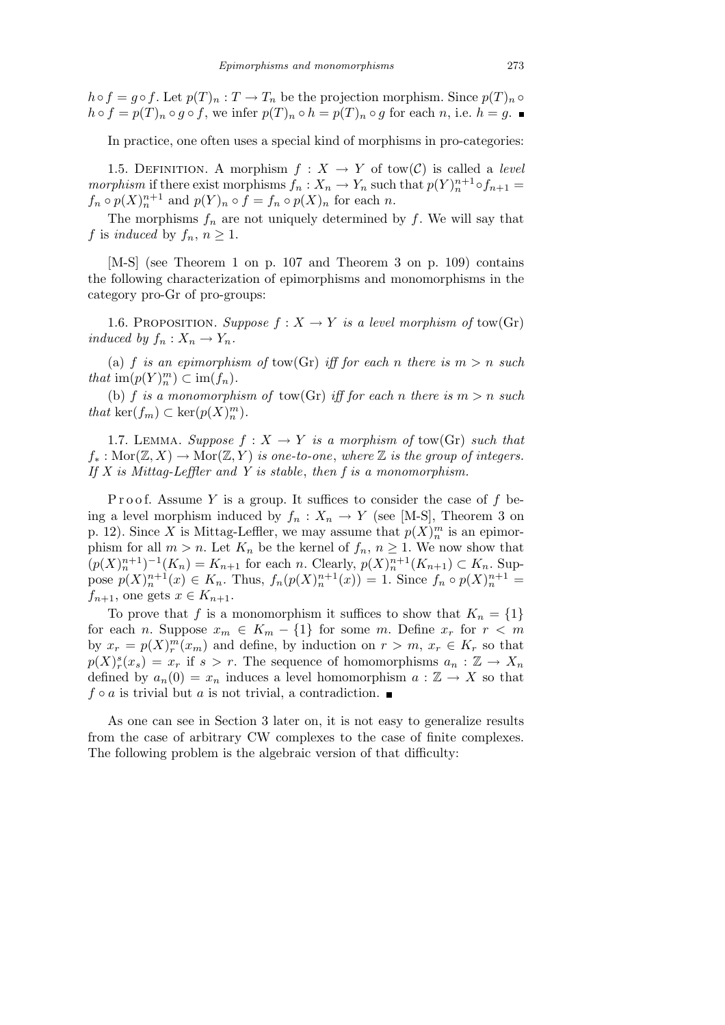$h \circ f = g \circ f$ . Let  $p(T)_n : T \to T_n$  be the projection morphism. Since  $p(T)_n \circ f$  $h \circ f = p(T)_n \circ g \circ f$ , we infer  $p(T)_n \circ h = p(T)_n \circ g$  for each n, i.e.  $h = g$ .

In practice, one often uses a special kind of morphisms in pro-categories:

1.5. DEFINITION. A morphism  $f : X \to Y$  of tow(C) is called a *level morphism* if there exist morphisms  $f_n: X_n \to Y_n$  such that  $p(Y)^{n+1}_n \circ f_{n+1} =$ *f*<sub>n</sub>  $\circ$  *p*(*X*)<sub>*n*</sub><sup> $+1$ </sup> and *p*(*Y*)<sub>*n*</sub>  $\circ$  *f* = *f*<sub>n</sub>  $\circ$  *p*(*X*)<sub>*n*</sub> for each *n*.

The morphisms  $f_n$  are not uniquely determined by  $f$ . We will say that *f* is *induced* by  $f_n, n \geq 1$ .

[M-S] (see Theorem 1 on p. 107 and Theorem 3 on p. 109) contains the following characterization of epimorphisms and monomorphisms in the category pro-Gr of pro-groups:

1.6. PROPOSITION. *Suppose*  $f: X \to Y$  *is a level morphism of* tow(Gr) *induced by*  $f_n: X_n \to Y_n$ .

(a) *f is an epimorphism of*  $\text{tow}(Gr)$  *iff for each n* there is  $m > n$  *such that*  $\text{im}(p(Y)^m_n) \subset \text{im}(f_n)$ *.* 

(b) *f is a monomorphism of*  $tow(Gr)$  *iff for each n there is*  $m > n$  *such that*  $\ker(f_m) \subset \ker(p(X)^m_n)$ *.* 

1.7. LEMMA. *Suppose*  $f: X \to Y$  *is a morphism of* tow(Gr) *such that*  $f_*: \text{Mor}(\mathbb{Z}, X) \to \text{Mor}(\mathbb{Z}, Y)$  *is one-to-one, where*  $\mathbb Z$  *is the group of integers. If X is Mittag-Leffler and Y is stable*, *then f is a monomorphism.*

P r o o f. Assume *Y* is a group. It suffices to consider the case of f being a level morphism induced by  $f_n: X_n \to Y$  (see [M-S], Theorem 3 on p. 12). Since *X* is Mittag-Leffler, we may assume that  $p(X)_n^m$  is an epimorphism for all  $m > n$ . Let  $K_n$  be the kernel of  $f_n$ ,  $n \geq 1$ . We now show that  $(p(X)^{n+1}_{n})^{-1}(K_{n}) = K_{n+1}$  for each *n*. Clearly,  $p(X)^{n+1}_{n}(K_{n+1}) \subset K_{n}$ . Suppose  $p(X)_n^{n+1}(x) \in K_n$ . Thus,  $f_n(p(X)_n^{n+1}(x)) = 1$ . Since  $f_n \circ p(X)_n^{n+1} =$  $f_{n+1}$ , one gets  $x \in K_{n+1}$ .

To prove that *f* is a monomorphism it suffices to show that  $K_n = \{1\}$ for each *n*. Suppose  $x_m \in K_m - \{1\}$  for some *m*. Define  $x_r$  for  $r < m$ by  $x_r = p(X)_r^m(x_m)$  and define, by induction on  $r > m$ ,  $x_r \in K_r$  so that  $p(X)^s_r(x_s) = x_r$  if  $s > r$ . The sequence of homomorphisms  $a_n : \mathbb{Z} \to X_n$ defined by  $a_n(0) = x_n$  induces a level homomorphism  $a: \mathbb{Z} \to X$  so that  $f \circ a$  is trivial but  $a$  is not trivial, a contradiction.

As one can see in Section 3 later on, it is not easy to generalize results from the case of arbitrary CW complexes to the case of finite complexes. The following problem is the algebraic version of that difficulty: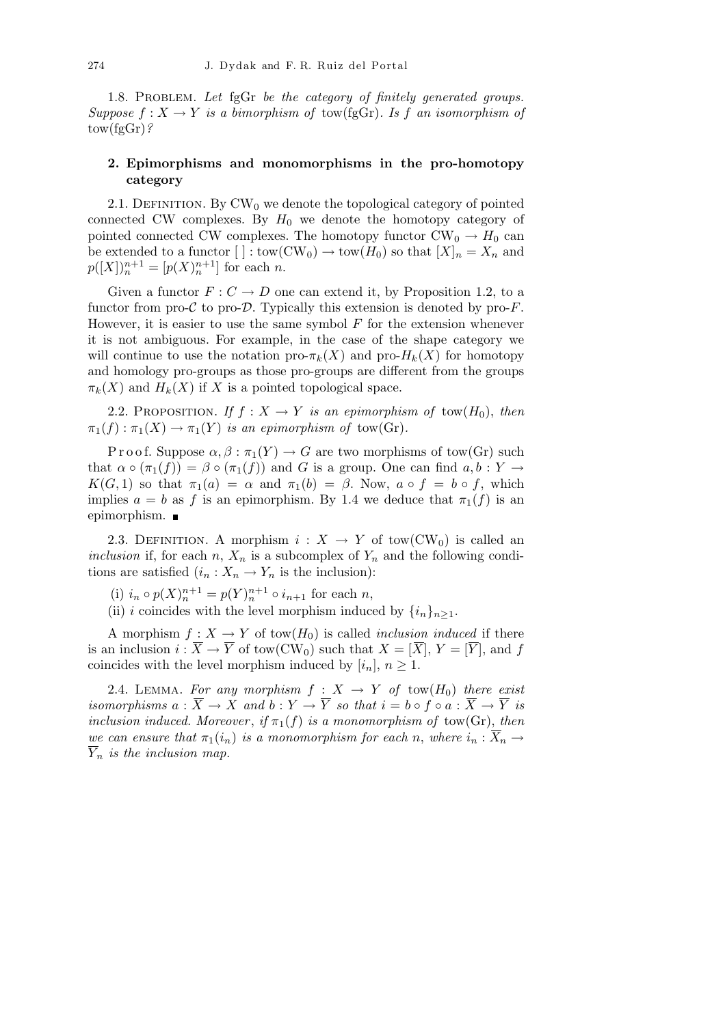1.8. Problem. *Let* fgGr *be the category of finitely generated groups. Suppose*  $f: X \to Y$  *is a bimorphism of* tow(fgGr)*. Is f an isomorphism of* tow(fgGr)*?*

## **2. Epimorphisms and monomorphisms in the pro-homotopy category**

2.1. DEFINITION. By  $CW_0$  we denote the topological category of pointed connected CW complexes. By  $H_0$  we denote the homotopy category of pointed connected CW complexes. The homotopy functor  $CW_0 \to H_0$  can be extended to a functor  $[ ] : \text{tow}(CW_0) \to \text{tow}(H_0)$  so that  $[X]_n = X_n$  and  $p([X])_n^{n+1} = [p(X)_n^{n+1}]$  for each *n*.

Given a functor  $F: C \to D$  one can extend it, by Proposition 1.2, to a functor from pro- $\mathcal C$  to pro- $\mathcal D$ . Typically this extension is denoted by pro- $F$ . However, it is easier to use the same symbol *F* for the extension whenever it is not ambiguous. For example, in the case of the shape category we will continue to use the notation pro- $\pi_k(X)$  and pro- $H_k(X)$  for homotopy and homology pro-groups as those pro-groups are different from the groups  $\pi_k(X)$  and  $H_k(X)$  if X is a pointed topological space.

2.2. PROPOSITION. If  $f: X \to Y$  is an epimorphism of tow( $H_0$ ), then  $\pi_1(f): \pi_1(X) \to \pi_1(Y)$  *is an epimorphism of* tow(Gr).

Proof. Suppose  $\alpha, \beta : \pi_1(Y) \to G$  are two morphisms of tow(Gr) such that  $\alpha \circ (\pi_1(f)) = \beta \circ (\pi_1(f))$  and *G* is a group. One can find  $a, b : Y \to Y$  $K(G,1)$  so that  $\pi_1(a) = \alpha$  and  $\pi_1(b) = \beta$ . Now,  $a \circ f = b \circ f$ , which implies  $a = b$  as f is an epimorphism. By 1.4 we deduce that  $\pi_1(f)$  is an epimorphism.  $\blacksquare$ 

2.3. DEFINITION. A morphism  $i: X \to Y$  of tow(CW<sub>0</sub>) is called an *inclusion* if, for each *n*,  $X_n$  is a subcomplex of  $Y_n$  and the following conditions are satisfied  $(i_n : X_n \to Y_n$  is the inclusion):

(i)  $i_n \circ p(X)_{n+1}^{n+1} = p(Y)_{n+1}^{n+1} \circ i_{n+1}$  for each *n*,

(ii) *i* coincides with the level morphism induced by  $\{i_n\}_{n\geq 1}$ .

A morphism  $f: X \to Y$  of tow( $H_0$ ) is called *inclusion induced* if there is an inclusion  $i : \overline{X} \to \overline{Y}$  of tow( $\overrightarrow{CW_0}$ ) such that  $X = [\overline{X}], Y = [\overline{Y}],$  and  $f$ coincides with the level morphism induced by  $[i_n]$ ,  $n \geq 1$ .

2.4. LEMMA. For any morphism  $f: X \rightarrow Y$  of tow( $H_0$ ) there exist *isomorphisms*  $a: \overline{X} \to X$  *and*  $b: Y \to \overline{Y}$  *so that*  $i = b \circ f \circ a: \overline{X} \to \overline{Y}$  *is inclusion induced. Moreover*, *if*  $\pi_1(f)$  *is a monomorphism of* tow(Gr), *then we can ensure that*  $\pi_1(i_n)$  *is a monomorphism for each n*, *where*  $i_n : \overline{X}_n \to$  $\overline{Y}_n$  *is the inclusion map.*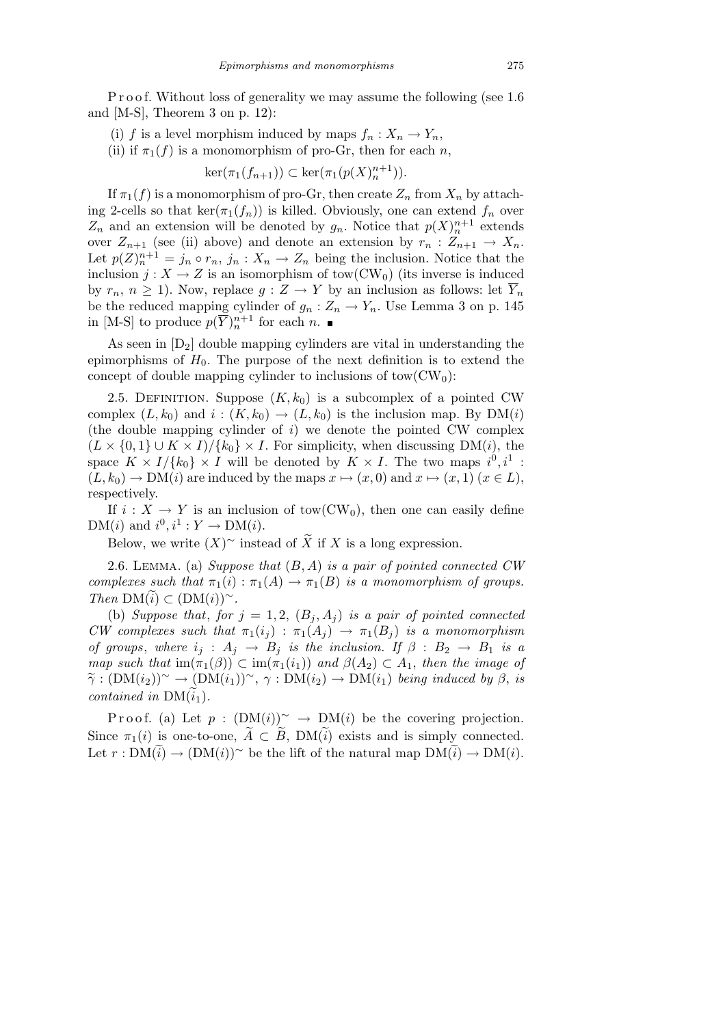P r o o f. Without loss of generality we may assume the following (see 1.6) and [M-S], Theorem 3 on p. 12):

(i) *f* is a level morphism induced by maps  $f_n: X_n \to Y_n$ ,

(ii) if  $\pi_1(f)$  is a monomorphism of pro-Gr, then for each *n*,

$$
\ker(\pi_1(f_{n+1})) \subset \ker(\pi_1(p(X)_n^{n+1})).
$$

If  $\pi_1(f)$  is a monomorphism of pro-Gr, then create  $Z_n$  from  $X_n$  by attaching 2-cells so that  $\ker(\pi_1(f_n))$  is killed. Obviously, one can extend  $f_n$  over  $Z_n$  and an extension will be denoted by  $g_n$ . Notice that  $p(X)^{n+1}_n$  extends over  $Z_{n+1}$  (see (ii) above) and denote an extension by  $r_n : Z_{n+1} \to X_n$ . Let  $p(Z)^{n+1} = j_n \circ r_n$ ,  $j_n : X_n \to Z_n$  being the inclusion. Notice that the inclusion  $j: X \to Z$  is an isomorphism of tow(CW<sub>0</sub>) (its inverse is induced by  $r_n$ ,  $n \geq 1$ ). Now, replace  $g: Z \to Y$  by an inclusion as follows: let  $Y_n$ be the reduced mapping cylinder of  $g_n: Z_n \to Y_n$ . Use Lemma 3 on p. 145 in [M-S] to produce  $p(\overline{Y})_n^{n+1}$  for each *n*.

As seen in  $[D_2]$  double mapping cylinders are vital in understanding the epimorphisms of  $H_0$ . The purpose of the next definition is to extend the concept of double mapping cylinder to inclusions of tow $(CW_0)$ :

2.5. DEFINITION. Suppose  $(K, k_0)$  is a subcomplex of a pointed CW complex  $(L, k_0)$  and  $i : (K, k_0) \to (L, k_0)$  is the inclusion map. By DM(*i*) (the double mapping cylinder of *i*) we denote the pointed CW complex  $(L \times \{0, 1\} \cup K \times I)/\{k_0\} \times I$ . For simplicity, when discussing DM(*i*), the space  $K \times I/\{k_0\} \times I$  will be denoted by  $K \times I$ . The two maps  $i^0, i^1$ :  $(L, k_0) \to DM(i)$  are induced by the maps  $x \mapsto (x, 0)$  and  $x \mapsto (x, 1)$   $(x \in L)$ , respectively.

If  $i: X \to Y$  is an inclusion of tow(CW<sub>0</sub>), then one can easily define  $DM(i)$  and  $i^0, i^1: Y \rightarrow DM(i)$ .

Below, we write  $(X)$ <sup>~</sup> instead of  $\widetilde{X}$  if *X* is a long expression.

2.6. Lemma. (a) *Suppose that* (*B, A*) *is a pair of pointed connected CW complexes such that*  $\pi_1(i) : \pi_1(A) \to \pi_1(B)$  *is a monomorphism of groups.*  $Then \ DM(i) \subset (DM(i))^{\sim}$ .

(b) *Suppose that, for*  $j = 1, 2$ ,  $(B_j, A_j)$  *is a pair of pointed connected CW* complexes such that  $\pi_1(i_j) : \pi_1(A_j) \to \pi_1(B_j)$  is a monomorphism *of groups*, *where*  $i_j : A_j \rightarrow B_j$  *is the inclusion.* If  $\beta : B_2 \rightarrow B_1$  *is a map such that*  $im(\pi_1(\beta)) \subset im(\pi_1(i_1))$  *and*  $\beta(A_2) \subset A_1$ *, then the image of*  $\widetilde{\gamma}: (\text{DM}(i_2))^{\sim} \rightarrow (\text{DM}(i_1))^{\sim}, \gamma: \text{DM}(i_2) \rightarrow \text{DM}(i_1)$  *being induced by*  $\beta$ , *is contained in*  $DM(i_1)$ *.* 

Proof. (a) Let  $p : (DM(i))^{\sim} \rightarrow DM(i)$  be the covering projection. Since  $\pi_1(i)$  is one-to-one,  $\widetilde{A} \subset \widetilde{B}$ , DM $(\widetilde{i})$  exists and is simply connected. Let  $r: DM(\tilde{i}) \rightarrow (DM(i))^{\sim}$  be the lift of the natural map  $DM(\tilde{i}) \rightarrow DM(i)$ .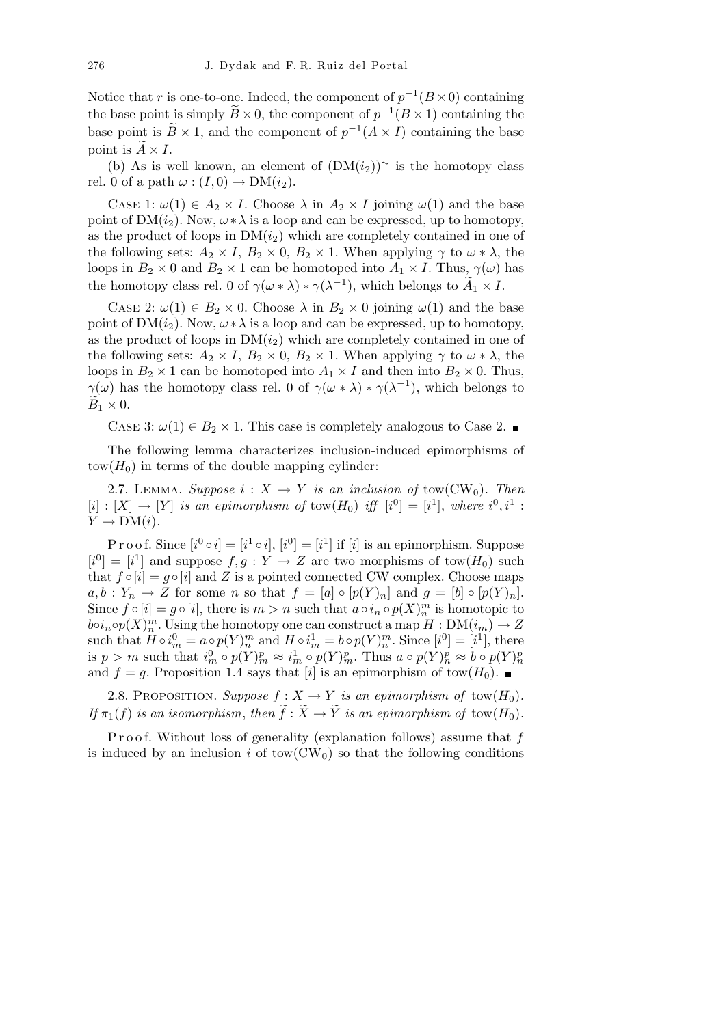Notice that *r* is one-to-one. Indeed, the component of  $p^{-1}(B \times 0)$  containing the base point is simply  $\widetilde{B} \times 0$ , the component of  $p^{-1}(B \times 1)$  containing the base point is  $\widetilde{B} \times 1$ , and the component of  $p^{-1}(A \times I)$  containing the base point is  $\widetilde{A} \times I$ .

(b) As is well known, an element of  $(DM(i_2))^{\sim}$  is the homotopy class rel. 0 of a path  $\omega$  :  $(I, 0) \rightarrow DM(i_2)$ .

CASE 1:  $\omega(1) \in A_2 \times I$ . Choose  $\lambda$  in  $A_2 \times I$  joining  $\omega(1)$  and the base point of  $DM(i_2)$ . Now,  $\omega * \lambda$  is a loop and can be expressed, up to homotopy, as the product of loops in  $DM(i_2)$  which are completely contained in one of the following sets:  $A_2 \times I$ ,  $B_2 \times 0$ ,  $B_2 \times 1$ . When applying  $\gamma$  to  $\omega * \lambda$ , the loops in  $B_2 \times 0$  and  $B_2 \times 1$  can be homotoped into  $A_1 \times I$ . Thus,  $\gamma(\omega)$  has the homotopy class rel. 0 of  $\gamma(\omega * \lambda) * \gamma(\lambda^{-1})$ , which belongs to  $\widetilde{A}_1 \times I$ .

CASE 2:  $\omega(1) \in B_2 \times 0$ . Choose  $\lambda$  in  $B_2 \times 0$  joining  $\omega(1)$  and the base point of  $DM(i_2)$ . Now,  $\omega * \lambda$  is a loop and can be expressed, up to homotopy, as the product of loops in  $DM(i_2)$  which are completely contained in one of the following sets:  $A_2 \times I$ ,  $B_2 \times 0$ ,  $B_2 \times 1$ . When applying  $\gamma$  to  $\omega * \lambda$ , the loops in  $B_2 \times 1$  can be homotoped into  $A_1 \times I$  and then into  $B_2 \times 0$ . Thus, *γ*(*ω*) has the homotopy class rel. 0 of  $γ(ω * λ) * γ(λ^{-1})$ , which belongs to  $B_1 \times 0$ .

CASE 3:  $\omega(1) \in B_2 \times 1$ . This case is completely analogous to Case 2.

The following lemma characterizes inclusion-induced epimorphisms of  $tow(H_0)$  in terms of the double mapping cylinder:

2.7. LEMMA. *Suppose*  $i: X \rightarrow Y$  *is an inclusion of* tow(CW<sub>0</sub>). Then  $[i] : [X] \to [Y]$  *is an epimorphism of* tow( $H_0$ ) *iff*  $[i^0] = [i^1]$ , *where*  $i^0, i^1$ :  $Y \rightarrow DM(i)$ .

P r o o f. Since  $[i^0 \circ i] = [i^1 \circ i]$ ,  $[i^0] = [i^1]$  if  $[i]$  is an epimorphism. Suppose  $[i^0] = [i^1]$  and suppose  $f, g: Y \to Z$  are two morphisms of tow( $H_0$ ) such that  $f \circ [i] = g \circ [i]$  and *Z* is a pointed connected CW complex. Choose maps  $a, b: Y_n \to Z$  for some *n* so that  $f = [a] \circ [p(Y)_n]$  and  $g = [b] \circ [p(Y)_n]$ . Since  $f \circ [i] = g \circ [i]$ , there is  $m > n$  such that  $a \circ i_n \circ p(X)_n^m$  is homotopic to  $b \circ i_n \circ p(X)_n^m$ . Using the homotopy one can construct a map  $H: DM(i_m) \to Z$ such that  $H \circ i_m^0 = a \circ p(Y)_n^m$  and  $H \circ i_m^1 = b \circ p(Y)_n^m$ . Since  $[i^0] = [i^1]$ , there is  $p > m$  such that  $i_m^0 \circ p(Y)^p_m \approx i_m^1 \circ p(Y)^p_m$ . Thus  $a \circ p(Y)^p_n \approx b \circ p(Y)^p_n$ and  $f = g$ . Proposition 1.4 says that [*i*] is an epimorphism of tow( $H_0$ ).

2.8. PROPOSITION. *Suppose*  $f: X \to Y$  *is an epimorphism of* tow( $H_0$ ). *If*  $\pi_1(f)$  *is an isomorphism, then*  $\widetilde{f}: \widetilde{X} \to \widetilde{Y}$  *is an epimorphism of* tow( $H_0$ )*.* 

P r o o f. Without loss of generality (explanation follows) assume that f is induced by an inclusion *i* of tow( $CW_0$ ) so that the following conditions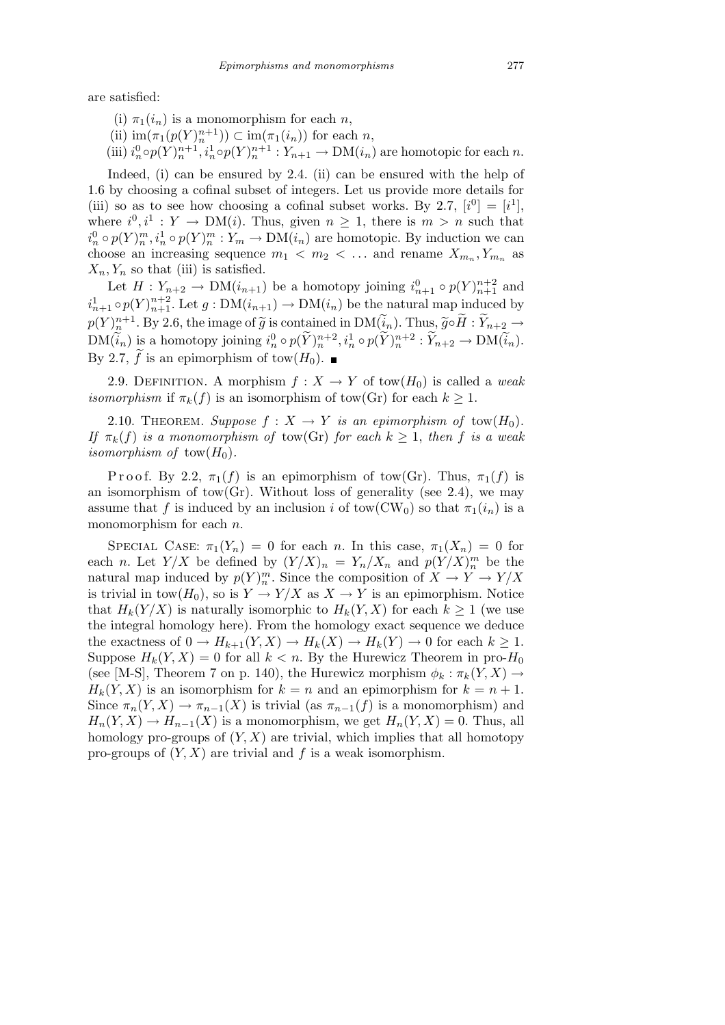are satisfied:

- (i)  $\pi_1(i_n)$  is a monomorphism for each *n*,
- (ii)  $\text{im}(\pi_1(p(Y)_n^{n+1})) \subset \text{im}(\pi_1(i_n))$  for each *n*,
- (iii)  $i_n^0 \circ p(Y)_n^{n+1}$ ,  $i_n^1 \circ p(Y)_n^{n+1}$ :  $Y_{n+1} \to DM(i_n)$  are homotopic for each n.

Indeed, (i) can be ensured by 2.4. (ii) can be ensured with the help of 1.6 by choosing a cofinal subset of integers. Let us provide more details for (iii) so as to see how choosing a cofinal subset works. By 2.7,  $[i^0] = [i^1]$ , where  $i^0, i^1 : Y \to \mathrm{DM}(i)$ . Thus, given  $n \geq 1$ , there is  $m > n$  such that  $i_n^0 \circ p(Y)_n^m, i_n^1 \circ p(Y)_n^m : Y_m \to \mathrm{DM}(i_n)$  are homotopic. By induction we can choose an increasing sequence  $m_1 < m_2 < \dots$  and rename  $X_{m_n}, Y_{m_n}$  as  $X_n, Y_n$  so that (iii) is satisfied.

Let  $H: Y_{n+2} \to \mathrm{DM}(i_{n+1})$  be a homotopy joining  $i_{n+1}^0 \circ p(Y)_{n+1}^{n+2}$  and  $i_{n+1}^1 \circ p(Y)_{n+1}^{n+2}$ . Let  $g: DM(i_{n+1}) \to DM(i_n)$  be the natural map induced by  $p(Y)^{n+1}_n$ . By 2.6, the image of  $\widetilde{g}$  is contained in  $\text{DM}(\widetilde{i}_n)$ . Thus,  $\widetilde{g} \circ \widetilde{H} : \widetilde{Y}_{n+2} \to$  $\mathrm{DM}(\widetilde{i}_n)$  is a homotopy joining  $i_n^0 \circ p(\widetilde{Y})_n^{n+2}, i_n^1 \circ p(\widetilde{Y})_n^{n+2} : \widetilde{Y}_{n+2} \to \mathrm{DM}(\widetilde{i}_n)$ . By 2.7,  $\tilde{f}$  is an epimorphism of tow( $H_0$ ).

2.9. DEFINITION. A morphism  $f: X \to Y$  of tow( $H_0$ ) is called a *weak isomorphism* if  $\pi_k(f)$  is an isomorphism of tow(Gr) for each  $k \geq 1$ .

2.10. THEOREM. *Suppose*  $f: X \to Y$  *is an epimorphism of* tow( $H_0$ ). *If*  $\pi_k(f)$  *is a monomorphism of* tow(Gr) *for each*  $k \geq 1$ , *then f is a weak isomorphism of* tow $(H_0)$ .

P r o o f. By 2.2,  $\pi_1(f)$  is an epimorphism of tow(Gr). Thus,  $\pi_1(f)$  is an isomorphism of tow(Gr). Without loss of generality (see 2.4), we may assume that f is induced by an inclusion *i* of tow(CW<sub>0</sub>) so that  $\pi_1(i_n)$  is a monomorphism for each *n*.

SPECIAL CASE:  $\pi_1(Y_n) = 0$  for each *n*. In this case,  $\pi_1(X_n) = 0$  for each *n*. Let  $Y/X$  be defined by  $(Y/X)_n = Y_n/X_n$  and  $p(Y/X)_n^m$  be the natural map induced by  $p(Y)_n^m$ . Since the composition of  $X \to Y \to Y/X$ is trivial in tow( $H_0$ ), so is  $Y \to Y/X$  as  $X \to Y$  is an epimorphism. Notice that  $H_k(Y/X)$  is naturally isomorphic to  $H_k(Y,X)$  for each  $k \geq 1$  (we use the integral homology here). From the homology exact sequence we deduce the exactness of  $0 \to H_{k+1}(Y, X) \to H_k(X) \to H_k(Y) \to 0$  for each  $k \geq 1$ . Suppose  $H_k(Y, X) = 0$  for all  $k < n$ . By the Hurewicz Theorem in pro- $H_0$ (see [M-S], Theorem 7 on p. 140), the Hurewicz morphism  $\phi_k : \pi_k(Y, X) \to$  $H_k(Y, X)$  is an isomorphism for  $k = n$  and an epimorphism for  $k = n + 1$ . Since  $\pi_n(Y, X) \to \pi_{n-1}(X)$  is trivial (as  $\pi_{n-1}(f)$  is a monomorphism) and  $H_n(Y, X) \to H_{n-1}(X)$  is a monomorphism, we get  $H_n(Y, X) = 0$ . Thus, all homology pro-groups of  $(Y, X)$  are trivial, which implies that all homotopy pro-groups of (*Y, X*) are trivial and *f* is a weak isomorphism.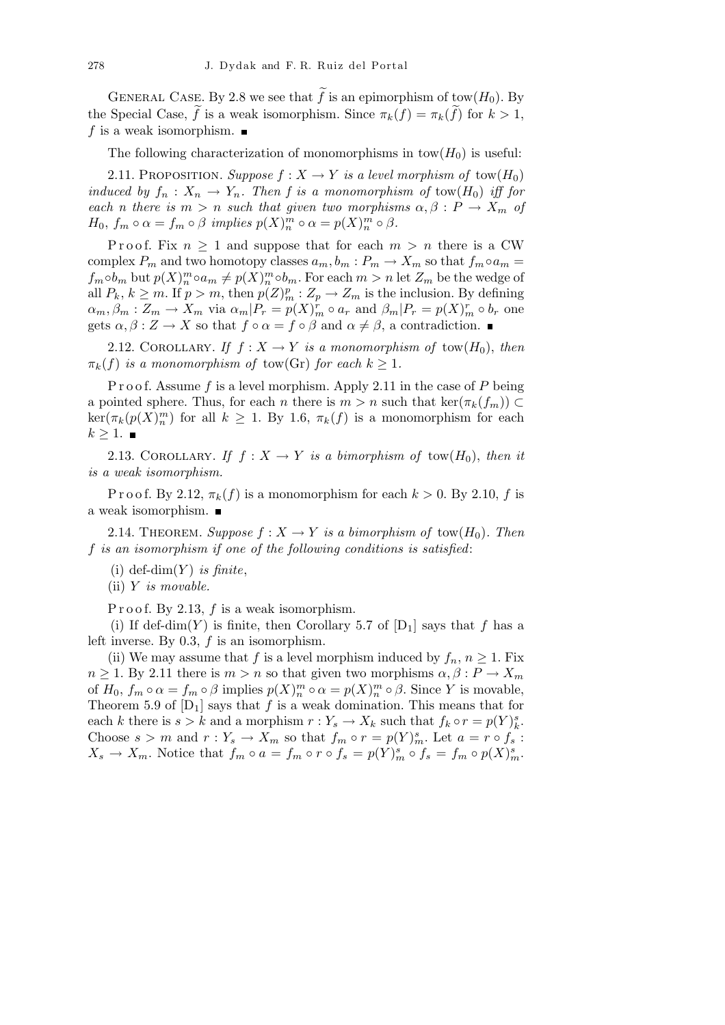GENERAL CASE. By 2.8 we see that  $\tilde{f}$  is an epimorphism of tow( $H_0$ ). By the Special Case,  $\tilde{f}$  is a weak isomorphism. Since  $\pi_k(f) = \pi_k(\tilde{f})$  for  $k > 1$ , *f* is a weak isomorphism. ■

The following characterization of monomorphisms in tow( $H_0$ ) is useful:

2.11. PROPOSITION. *Suppose*  $f: X \rightarrow Y$  *is a level morphism of* tow( $H_0$ ) *induced by*  $f_n: X_n \to Y_n$ *. Then f is a monomorphism of* tow( $H_0$ ) *iff for each n there is*  $m > n$  *such that given two morphisms*  $\alpha, \beta : P \to X_m$  *of H*<sub>0</sub>,  $f_m \circ \alpha = f_m \circ \beta$  *implies*  $p(X)^m_n \circ \alpha = p(X)^m_n \circ \beta$ .

Proof. Fix  $n \geq 1$  and suppose that for each  $m > n$  there is a CW complex  $P_m$  and two homotopy classes  $a_m, b_m : P_m \to X_m$  so that  $f_m \circ a_m =$  $f_m \circ b_m$  but  $p(X)^m_n \circ a_m \neq p(X)^m_n \circ b_m$ . For each  $m > n$  let  $Z_m$  be the wedge of all  $P_k$ ,  $k \geq m$ . If  $p > m$ , then  $p(Z)_{m}^p : Z_p \to Z_m$  is the inclusion. By defining  $\alpha_m, \beta_m : Z_m \to X_m$  via  $\alpha_m | P_r = p(X)^r_m \circ a_r$  and  $\beta_m | P_r = p(X)^r_m \circ b_r$  one gets  $\alpha, \beta : Z \to X$  so that  $f \circ \alpha = f \circ \beta$  and  $\alpha \neq \beta$ , a contradiction.

2.12. COROLLARY. *If*  $f: X \to Y$  *is a monomorphism of* tow( $H_0$ ), *then*  $\pi_k(f)$  *is a monomorphism of* tow(Gr) *for each*  $k \geq 1$ *.* 

P r o o f. Assume *f* is a level morphism. Apply 2.11 in the case of *P* being a pointed sphere. Thus, for each *n* there is  $m > n$  such that  $\ker(\pi_k(f_m)) \subset$  $\ker(\pi_k(p(X)^m)\)$  for all  $k\geq 1$ . By 1.6,  $\pi_k(f)$  is a monomorphism for each  $k$   $\geq$  1. ■

2.13. COROLLARY. If  $f: X \to Y$  is a bimorphism of tow( $H_0$ ), then it *is a weak isomorphism.*

P r o o f. By 2.12,  $\pi_k(f)$  is a monomorphism for each  $k > 0$ . By 2.10, f is a weak isomorphism.

2.14. THEOREM. *Suppose*  $f: X \to Y$  *is a bimorphism of* tow( $H_0$ ). Then *f is an isomorphism if one of the following conditions is satisfied*:

- (i) def-dim $(Y)$  *is finite*,
- (ii) *Y is movable.*

P r o o f. By 2.13, *f* is a weak isomorphism.

(i) If def-dim(*Y*) is finite, then Corollary 5.7 of  $[D_1]$  says that *f* has a left inverse. By 0.3, *f* is an isomorphism.

(ii) We may assume that *f* is a level morphism induced by  $f_n$ ,  $n \geq 1$ . Fix  $n \geq 1$ . By 2.11 there is  $m > n$  so that given two morphisms  $\alpha, \beta : P \to X_m$ of  $H_0$ ,  $f_m \circ \alpha = f_m \circ \beta$  implies  $p(X)^m$   $\circ \alpha = p(X)^m$   $\circ \beta$ . Since Y is movable, Theorem 5.9 of  $[D_1]$  says that f is a weak domination. This means that for each *k* there is  $s > k$  and a morphism  $r : Y_s \to X_k$  such that  $f_k \circ r = p(Y)_{k}^{s}$ . Choose  $s > m$  and  $r : Y_s \to X_m$  so that  $f_m \circ r = p(Y)_{m}^s$ . Let  $a = r \circ f_s$ :  $X_s \to X_m$ . Notice that  $f_m \circ a = f_m \circ r \circ f_s = p(Y)^s_m \circ f_s = f_m \circ p(X)^s_m$ .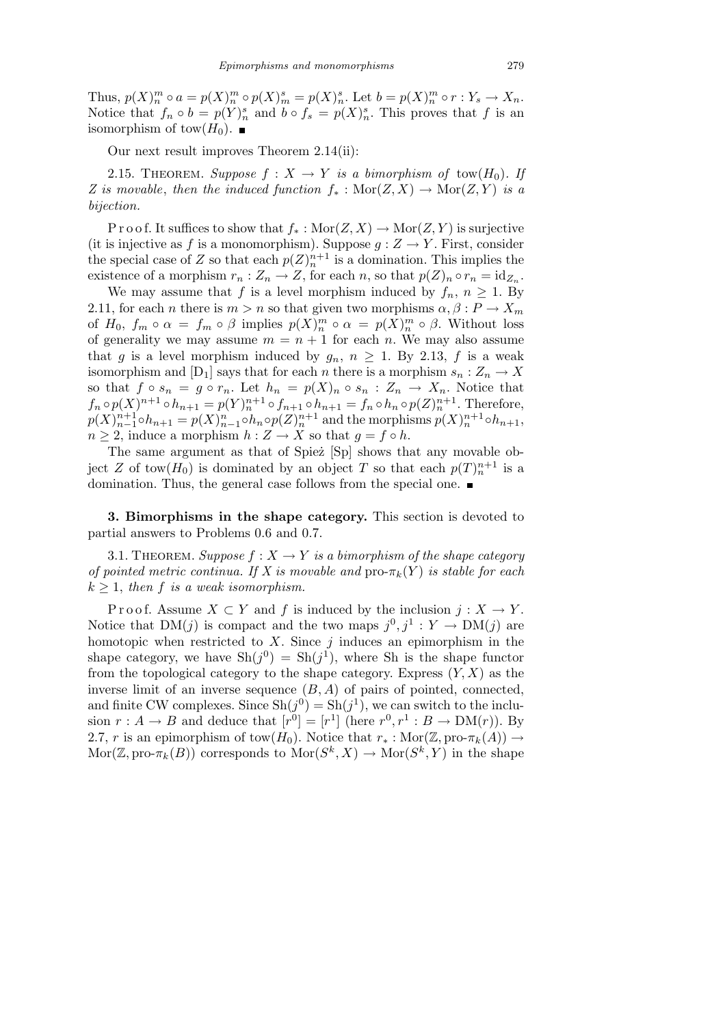Thus,  $p(X)^m_n \circ a = p(X)^m_n \circ p(X)^s_m = p(X)^s_n$ . Let  $b = p(X)^m_n \circ r : Y_s \to X_n$ . Notice that  $f_n \circ b = p(Y)^s_n$  and  $b \circ f_s = p(X)^s_n$ . This proves that *f* is an isomorphism of tow $(H_0)$ .

Our next result improves Theorem 2.14(ii):

2.15. THEOREM. *Suppose*  $f: X \to Y$  *is a bimorphism of* tow( $H_0$ ). If *Z* is movable, then the induced function  $f_* : \text{Mor}(Z, X) \to \text{Mor}(Z, Y)$  is a *bijection.*

P r o o f. It suffices to show that  $f_*: \text{Mor}(Z, X) \to \text{Mor}(Z, Y)$  is surjective (it is injective as *f* is a monomorphism). Suppose  $g: Z \to Y$ . First, consider the special case of *Z* so that each  $p(Z)^{n+1}$  is a domination. This implies the existence of a morphism  $r_n: Z_n \to Z$ , for each *n*, so that  $p(Z)_n \circ r_n = id_{Z_n}$ .

We may assume that *f* is a level morphism induced by  $f_n$ ,  $n \geq 1$ . By 2.11, for each *n* there is  $m > n$  so that given two morphisms  $\alpha, \beta : P \to X_m$ of  $H_0$ ,  $f_m \circ \alpha = f_m \circ \beta$  implies  $p(X)^m_n \circ \alpha = p(X)^m_n \circ \beta$ . Without loss of generality we may assume  $m = n + 1$  for each *n*. We may also assume that *g* is a level morphism induced by  $g_n$ ,  $n \geq 1$ . By 2.13, *f* is a weak isomorphism and  $[D_1]$  says that for each *n* there is a morphism  $s_n : Z_n \to X$ so that  $f \circ s_n = g \circ r_n$ . Let  $h_n = p(X)_n \circ s_n : Z_n \to X_n$ . Notice that  $f_n \circ p(X)^{n+1} \circ h_{n+1} = p(Y)^{n+1}_n \circ f_{n+1} \circ h_{n+1} = f_n \circ h_n \circ p(Z)^{n+1}_n$ . Therefore,  $p(X)_{n-1}^{n+1} \circ h_{n+1} = p(X)_{n-1}^{n} \circ h_n \circ p(Z)_{n}^{n+1}$  and the morphisms  $p(X)_{n}^{n+1} \circ h_{n+1}$ ,  $n \geq 2$ , induce a morphism  $h: Z \to X$  so that  $g = f \circ h$ .

The same argument as that of Spież [Sp] shows that any movable object *Z* of tow( $H_0$ ) is dominated by an object *T* so that each  $p(T)^{n+1}_n$  is a domination. Thus, the general case follows from the special one.

**3. Bimorphisms in the shape category.** This section is devoted to partial answers to Problems 0.6 and 0.7.

3.1. THEOREM. *Suppose*  $f: X \to Y$  *is a bimorphism of the shape category of pointed metric continua. If* X is movable and  $\text{pro-}\pi_k(Y)$  is stable for each  $k \geq 1$ , *then f is a weak isomorphism.* 

Proof. Assume  $X \subset Y$  and  $f$  is induced by the inclusion  $j: X \to Y$ . Notice that  $DM(j)$  is compact and the two maps  $j^0, j^1 : Y \to DM(j)$  are homotopic when restricted to *X*. Since *j* induces an epimorphism in the shape category, we have  $\text{Sh}(j^0) = \text{Sh}(j^1)$ , where Sh is the shape functor from the topological category to the shape category. Express  $(Y, X)$  as the inverse limit of an inverse sequence  $(B, A)$  of pairs of pointed, connected, and finite CW complexes. Since  $\text{Sh}(j^0) = \text{Sh}(j^1)$ , we can switch to the inclusion  $r: A \to B$  and deduce that  $[r^0] = [r^1]$  (here  $r^0, r^1: B \to \text{DM}(r)$ ). By 2.7, *r* is an epimorphism of tow $(H_0)$ . Notice that  $r_* : \text{Mor}(\mathbb{Z}, \text{pro-} \pi_k(A)) \to$  $\text{Mor}(\mathbb{Z}, \text{pro-}n_k(B))$  corresponds to  $\text{Mor}(S^k, X) \to \text{Mor}(S^k, Y)$  in the shape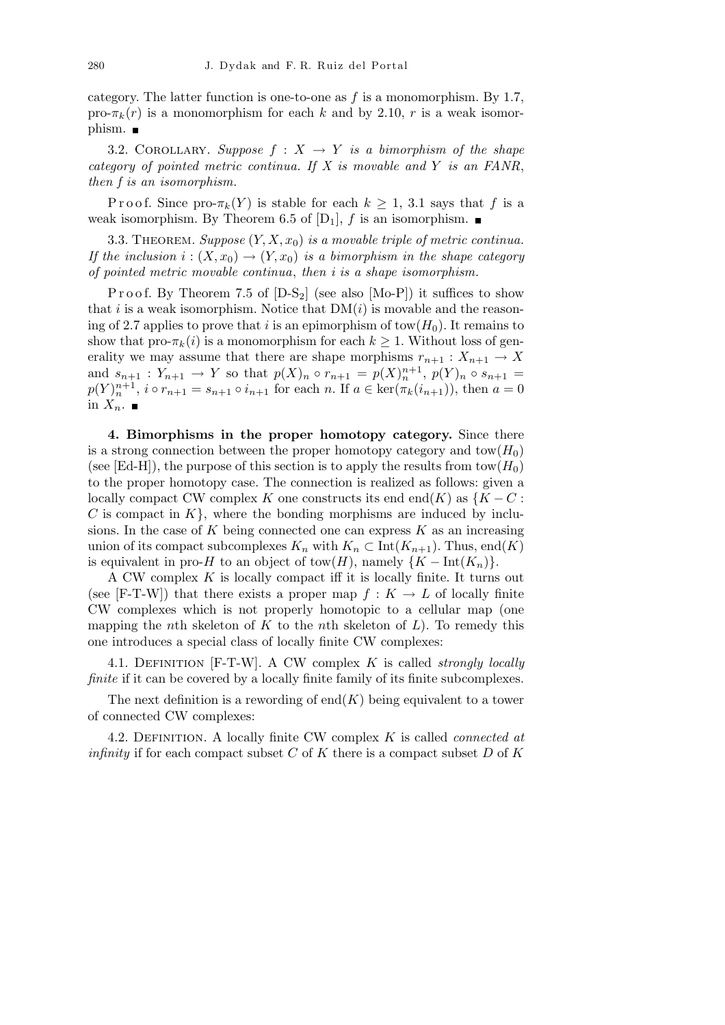category. The latter function is one-to-one as *f* is a monomorphism. By 1.7, pro- $\pi_k(r)$  is a monomorphism for each *k* and by 2.10, *r* is a weak isomorphism.  $\blacksquare$ 

3.2. COROLLARY. *Suppose*  $f : X \rightarrow Y$  *is a bimorphism of the shape category of pointed metric continua. If X is movable and Y is an FANR*, *then f is an isomorphism.*

Proof. Since  $\text{pro-} \pi_k(Y)$  is stable for each  $k \geq 1$ , 3.1 says that f is a weak isomorphism. By Theorem 6.5 of  $[D_1]$ ,  $f$  is an isomorphism.

3.3. THEOREM. *Suppose*  $(Y, X, x_0)$  *is a movable triple of metric continua. If the inclusion*  $i:(X,x_0) \to (Y,x_0)$  *is a bimorphism in the shape category of pointed metric movable continua*, *then i is a shape isomorphism.*

P r o o f. By Theorem 7.5 of  $[D-S_2]$  (see also  $[Mo-P]$ ) it suffices to show that  $i$  is a weak isomorphism. Notice that  $DM(i)$  is movable and the reasoning of 2.7 applies to prove that *i* is an epimorphism of tow $(H_0)$ . It remains to show that pro- $\pi_k(i)$  is a monomorphism for each  $k \geq 1$ . Without loss of generality we may assume that there are shape morphisms  $r_{n+1}: X_{n+1} \to X$ and  $s_{n+1}$ :  $Y_{n+1} \to Y$  so that  $p(X)_n \circ r_{n+1} = p(X)_n^{n+1}$ ,  $p(Y)_n \circ s_{n+1} =$  $p(Y)^{n+1}_{n}$ ,  $i \circ r_{n+1} = s_{n+1} \circ i_{n+1}$  for each n. If  $a \in \text{ker}(\pi_k(i_{n+1}))$ , then  $a = 0$ in  $X_n$ .

**4. Bimorphisms in the proper homotopy category.** Since there is a strong connection between the proper homotopy category and tow $(H_0)$ (see [Ed-H]), the purpose of this section is to apply the results from tow( $H_0$ ) to the proper homotopy case. The connection is realized as follows: given a locally compact CW complex *K* one constructs its end end(*K*) as  ${K - C}$ : *C* is compact in *K}*, where the bonding morphisms are induced by inclusions. In the case of *K* being connected one can express *K* as an increasing union of its compact subcomplexes  $K_n$  with  $K_n \subset \text{Int}(K_{n+1})$ . Thus, end(*K*) is equivalent in pro-*H* to an object of tow(*H*), namely  $\{K - \text{Int}(K_n)\}.$ 

A CW complex *K* is locally compact iff it is locally finite. It turns out (see [F-T-W]) that there exists a proper map  $f: K \to L$  of locally finite CW complexes which is not properly homotopic to a cellular map (one mapping the *n*th skeleton of *K* to the *n*th skeleton of *L*). To remedy this one introduces a special class of locally finite CW complexes:

4.1. Definition [F-T-W]. A CW complex *K* is called *strongly locally finite* if it can be covered by a locally finite family of its finite subcomplexes.

The next definition is a rewording of  $end(K)$  being equivalent to a tower of connected CW complexes:

4.2. Definition. A locally finite CW complex *K* is called *connected at infinity* if for each compact subset *C* of *K* there is a compact subset *D* of *K*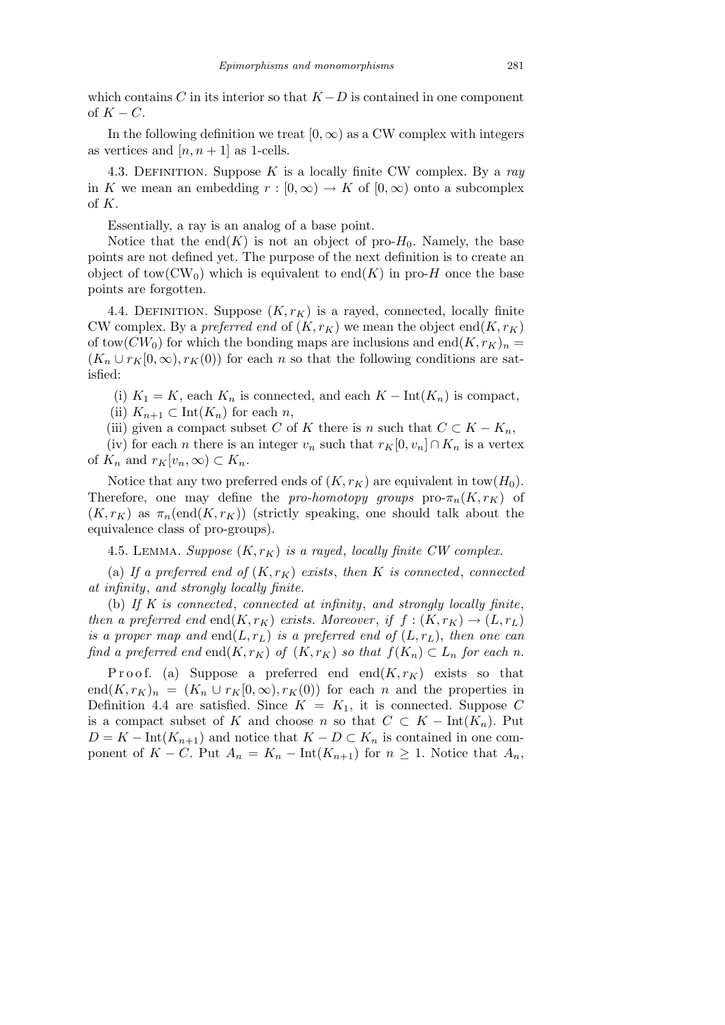which contains *C* in its interior so that  $K-D$  is contained in one component of  $K - C$ .

In the following definition we treat  $[0, \infty)$  as a CW complex with integers as vertices and  $[n, n+1]$  as 1-cells.

4.3. Definition. Suppose *K* is a locally finite CW complex. By a *ray* in *K* we mean an embedding  $r : [0, \infty) \to K$  of  $[0, \infty)$  onto a subcomplex of *K*.

Essentially, a ray is an analog of a base point.

Notice that the end( $K$ ) is not an object of pro- $H_0$ . Namely, the base points are not defined yet. The purpose of the next definition is to create an object of tow( $CW_0$ ) which is equivalent to end(*K*) in pro-*H* once the base points are forgotten.

4.4. DEFINITION. Suppose  $(K, r_K)$  is a rayed, connected, locally finite CW complex. By a *preferred end* of  $(K, r_K)$  we mean the object end $(K, r_K)$ of tow( $CW_0$ ) for which the bonding maps are inclusions and end( $K, r_K$ )<sub>n</sub> =  $(K_n \cup r_K[0,\infty), r_K(0))$  for each *n* so that the following conditions are satisfied:

(i)  $K_1 = K$ , each  $K_n$  is connected, and each  $K - \text{Int}(K_n)$  is compact,

(ii)  $K_{n+1} \subset \text{Int}(K_n)$  for each *n*,

(iii) given a compact subset *C* of *K* there is *n* such that  $C \subset K - K_n$ ,

(iv) for each *n* there is an integer  $v_n$  such that  $r_K[0, v_n] \cap K_n$  is a vertex of  $K_n$  and  $r_K[v_n, \infty) \subset K_n$ .

Notice that any two preferred ends of  $(K, r_K)$  are equivalent in tow( $H_0$ ). Therefore, one may define the *pro-homotopy groups*  $\text{pro-} \pi_n(K, r_K)$  of  $(K, r_K)$  as  $\pi_n(\text{end}(K, r_K))$  (strictly speaking, one should talk about the equivalence class of pro-groups).

4.5. LEMMA. *Suppose*  $(K, r_K)$  *is a rayed, locally finite CW complex.* 

(a) If a preferred end of  $(K, r_K)$  exists, then K is connected, connected *at infinity*, *and strongly locally finite.*

(b) *If K is connected*, *connected at infinity*, *and strongly locally finite*, *then a preferred end* end(*K,r<sub>K</sub>*) *exists. Moreover, if*  $f: (K, r_K) \rightarrow (L, r_L)$ *is a proper map and* end $(L, r_L)$  *is a preferred end of*  $(L, r_L)$ *, then one can find a preferred end* end(*K,r<sub>K</sub>*) *of* (*K,r<sub>K</sub>*) *so that*  $f(K_n) \subset L_n$  *for each n.* 

P r o o f. (a) Suppose a preferred end end $(K, r_K)$  exists so that end $(K, r_K)_n = (K_n \cup r_K[0, \infty), r_K(0))$  for each *n* and the properties in Definition 4.4 are satisfied. Since  $K = K_1$ , it is connected. Suppose C is a compact subset of *K* and choose *n* so that  $C \subset K - \text{Int}(K_n)$ . Put  $D = K - \text{Int}(K_{n+1})$  and notice that  $K - D \subset K_n$  is contained in one component of  $K - C$ . Put  $A_n = K_n - \text{Int}(K_{n+1})$  for  $n \geq 1$ . Notice that  $A_n$ ,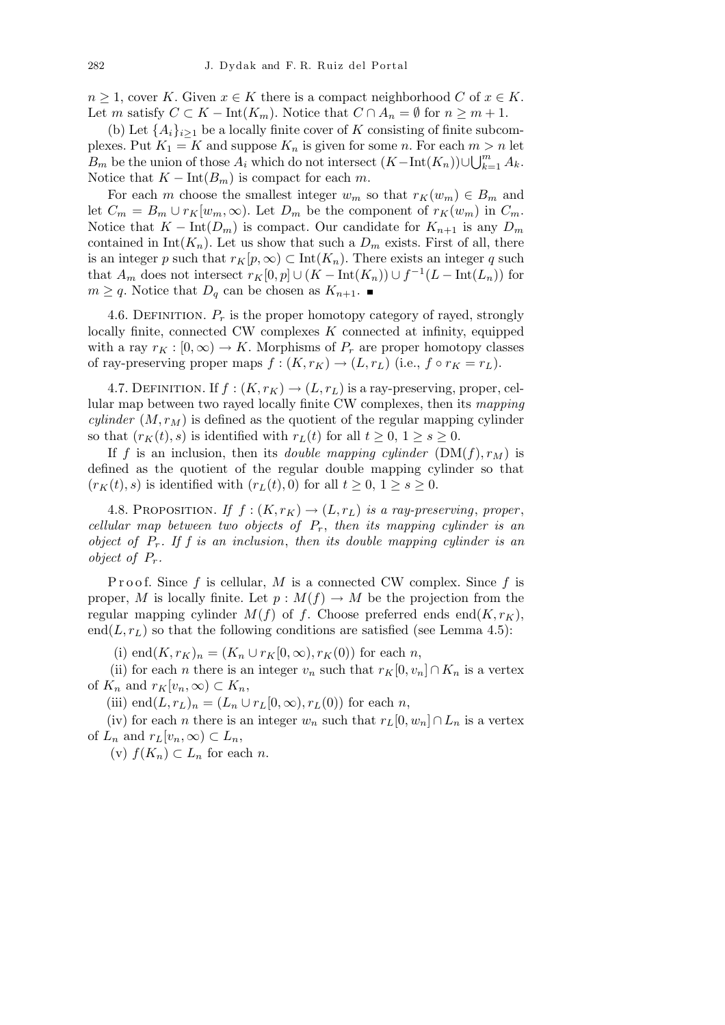$n \geq 1$ , cover *K*. Given  $x \in K$  there is a compact neighborhood *C* of  $x \in K$ . Let *m* satisfy  $C \subset K$  – Int $(K_m)$ . Notice that  $C \cap A_n = \emptyset$  for  $n \geq m+1$ .

(b) Let  $\{A_i\}_{i\geq 1}$  be a locally finite cover of K consisting of finite subcomplexes. Put  $K_1 = K$  and suppose  $K_n$  is given for some *n*. For each  $m > n$  let *B*<sup>*m*</sup> be the union of those  $A_i$  which do not intersect  $(K - \text{Int}(K_n)) \cup \bigcup_{k=1}^m A_k$ . Notice that  $K - \text{Int}(B_m)$  is compact for each *m*.

For each *m* choose the smallest integer  $w_m$  so that  $r_K(w_m) \in B_m$  and let  $C_m = B_m \cup r_K[w_m, \infty)$ . Let  $D_m$  be the component of  $r_K(w_m)$  in  $C_m$ . Notice that  $K - \text{Int}(D_m)$  is compact. Our candidate for  $K_{n+1}$  is any  $D_m$ contained in  $Int(K_n)$ . Let us show that such a  $D_m$  exists. First of all, there is an integer *p* such that  $r_K[p, \infty) \subset \text{Int}(K_n)$ . There exists an integer *q* such that  $A_m$  does not intersect  $r_K[0, p] \cup (K - \text{Int}(K_n)) \cup f^{-1}(L - \text{Int}(L_n))$  for *m* ≥ *q*. Notice that *D<sub>q</sub>* can be chosen as  $K_{n+1}$ . ■

4.6. DEFINITION.  $P_r$  is the proper homotopy category of rayed, strongly locally finite, connected CW complexes *K* connected at infinity, equipped with a ray  $r_K : [0, \infty) \to K$ . Morphisms of  $P_r$  are proper homotopy classes of ray-preserving proper maps  $f : (K, r_K) \to (L, r_L)$  (i.e.,  $f \circ r_K = r_L$ ).

4.7. DEFINITION. If  $f : (K, r_K) \to (L, r_L)$  is a ray-preserving, proper, cellular map between two rayed locally finite CW complexes, then its *mapping cylinder*  $(M, r_M)$  is defined as the quotient of the regular mapping cylinder so that  $(r_K(t), s)$  is identified with  $r_L(t)$  for all  $t \geq 0, 1 \geq s \geq 0$ .

If *f* is an inclusion, then its *double mapping cylinder*  $(DM(f), r_M)$  is defined as the quotient of the regular double mapping cylinder so that  $(r_K(t), s)$  is identified with  $(r_L(t), 0)$  for all  $t \geq 0, 1 \geq s \geq 0$ .

4.8. PROPOSITION. If  $f:(K,r_K) \to (L,r_L)$  is a ray-preserving, proper, *cellular map between two objects of Pr*, *then its mapping cylinder is an object of Pr. If f is an inclusion*, *then its double mapping cylinder is an object of*  $P_r$ *.* 

Proof. Since f is cellular, M is a connected CW complex. Since f is proper, *M* is locally finite. Let  $p : M(f) \to M$  be the projection from the regular mapping cylinder  $M(f)$  of f. Choose preferred ends end $(K, r_K)$ , end $(L, r_L)$  so that the following conditions are satisfied (see Lemma 4.5):

(i) end $(K, r_K)_n = (K_n \cup r_K[0, \infty), r_K(0))$  for each *n*,

(ii) for each *n* there is an integer  $v_n$  such that  $r_K[0, v_n] \cap K_n$  is a vertex of  $K_n$  and  $r_K[v_n, \infty) \subset K_n$ ,

(iii) end $(L, r_L)_n = (L_n \cup r_L[0, \infty), r_L(0))$  for each *n*,

(iv) for each *n* there is an integer  $w_n$  such that  $r_L[0, w_n] \cap L_n$  is a vertex of  $L_n$  and  $r_L[v_n,\infty) \subset L_n$ ,

(v)  $f(K_n)$  ⊂  $L_n$  for each *n*.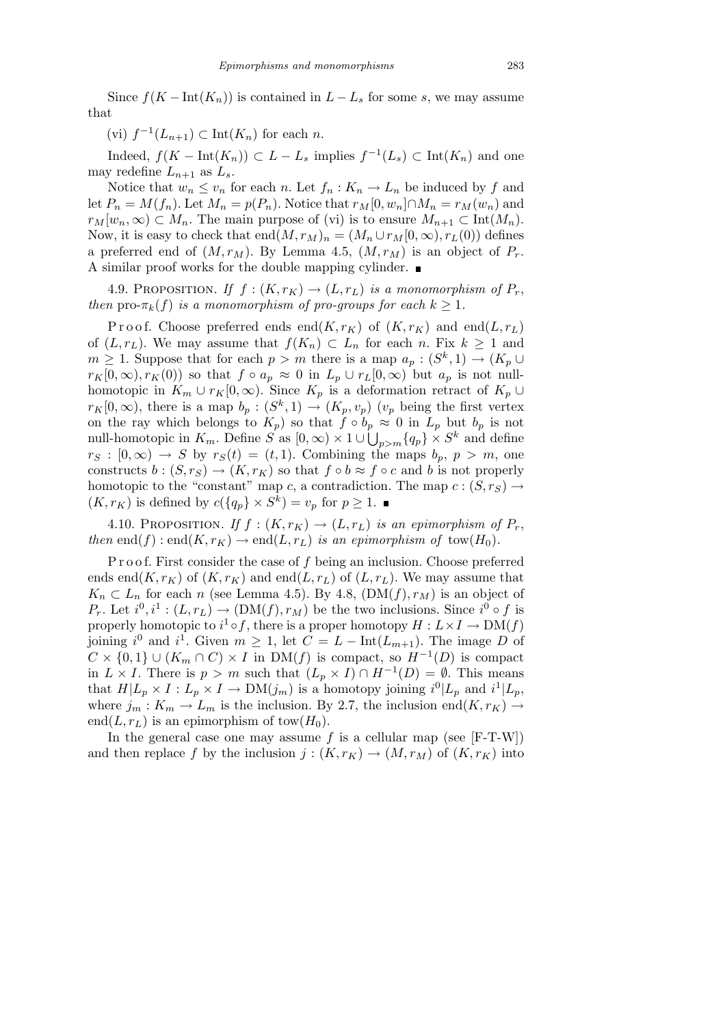Since  $f(K - Int(K_n))$  is contained in  $L - L_s$  for some *s*, we may assume that

(vi)  $f^{-1}(L_{n+1})$  ⊂ Int( $K_n$ ) for each *n*.

Indeed,  $f(K - Int(K_n)) \subset L - L_s$  implies  $f^{-1}(L_s) \subset Int(K_n)$  and one may redefine  $L_{n+1}$  as  $L_s$ .

Notice that  $w_n \leq v_n$  for each *n*. Let  $f_n : K_n \to L_n$  be induced by *f* and let  $P_n = M(f_n)$ . Let  $M_n = p(P_n)$ . Notice that  $r_M[0, w_n] \cap M_n = r_M(w_n)$  and  $r_M[w_n, \infty) \subset M_n$ . The main purpose of (vi) is to ensure  $M_{n+1} \subset \text{Int}(M_n)$ . Now, it is easy to check that  $end(M, r_M)_n = (M_n \cup r_M[0, \infty), r_L(0))$  defines a preferred end of  $(M, r_M)$ . By Lemma 4.5,  $(M, r_M)$  is an object of  $P_r$ . A similar proof works for the double mapping cylinder.

4.9. PROPOSITION. If  $f:(K,r_K) \to (L,r_L)$  is a monomorphism of  $P_r$ , *then* pro- $\pi_k(f)$  *is a monomorphism of pro-groups for each*  $k \geq 1$ *.* 

Proof. Choose preferred ends end $(K, r_K)$  of  $(K, r_K)$  and end $(L, r_L)$ of  $(L, r_L)$ . We may assume that  $f(K_n) \subset L_n$  for each *n*. Fix  $k \geq 1$  and  $m \geq 1$ . Suppose that for each  $p > m$  there is a map  $a_p : (S^k, 1) \to (K_p \cup$  $r_K[0,\infty), r_K(0)$  so that  $f \circ a_p \approx 0$  in  $L_p \cup r_L[0,\infty)$  but  $a_p$  is not nullhomotopic in  $K_m \cup r_K[0, \infty)$ . Since  $K_p$  is a deformation retract of  $K_p \cup$  $r_K[0,\infty)$ , there is a map  $b_p : (S^k,1) \to (K_p,v_p)$  ( $v_p$  being the first vertex on the ray which belongs to  $K_p$ ) so that  $f \circ b_p \approx 0$  in  $L_p$  but  $b_p$  is not null-homotopic in  $K_m$ . Define  $S$  as  $[0, \infty) \times 1 \cup \bigcup_{p>m} \{q_p\} \times S^k$  and define  $r_S : [0, \infty) \to S$  by  $r_S(t) = (t, 1)$ . Combining the maps  $b_p, p > m$ , one constructs  $b:(S, r_S) \to (K, r_K)$  so that  $f \circ b \approx f \circ c$  and  $b$  is not properly homotopic to the "constant" map *c*, a contradiction. The map  $c : (S, r_S) \rightarrow$  $(K, r_K)$  is defined by  $c({q_p} \times S^k) = v_p$  for  $p \ge 1$ .

4.10. PROPOSITION. If  $f : (K, r_K) \to (L, r_L)$  is an epimorphism of  $P_r$ , *then* end(*f*) : end(*K,r<sub>K</sub>*)  $\rightarrow$  end(*L,r<sub>L</sub>*) *is an epimorphism of* tow(*H*<sub>0</sub>)*.* 

P r o o f. First consider the case of f being an inclusion. Choose preferred ends end $(K, r_K)$  of  $(K, r_K)$  and end $(L, r_L)$  of  $(L, r_L)$ . We may assume that *K*<sup>n</sup> ⊂ *L*<sup>n</sup> for each *n* (see Lemma 4.5). By 4.8, (DM(*f*)*, r*<sub>*M*</sub>) is an object of  $P_r$ . Let  $i^0, i^1 : (L, r_L) \to (DM(f), r_M)$  be the two inclusions. Since  $i^0 \circ f$  is properly homotopic to  $i^1 \circ f$ , there is a proper homotopy  $H: L \times I \to \mathrm{DM}(f)$ joining  $i^0$  and  $i^1$ . Given  $m \geq 1$ , let  $C = L - \text{Int}(L_{m+1})$ . The image *D* of  $C \times \{0,1\} \cup (K_m \cap C) \times I$  in DM(*f*) is compact, so  $H^{-1}(D)$  is compact in  $L \times I$ . There is  $p > m$  such that  $(L_p \times I) \cap H^{-1}(D) = \emptyset$ . This means that  $H|L_p \times I: L_p \times I \to \text{DM}(j_m)$  is a homotopy joining  $i^0|L_p$  and  $i^1|L_p$ , where  $j_m: K_m \to L_m$  is the inclusion. By 2.7, the inclusion end $(K, r_K) \to$ end( $L, r_L$ ) is an epimorphism of tow( $H_0$ ).

In the general case one may assume *f* is a cellular map (see [F-T-W]) and then replace f by the inclusion  $j:(K,r_K)\to (M,r_M)$  of  $(K,r_K)$  into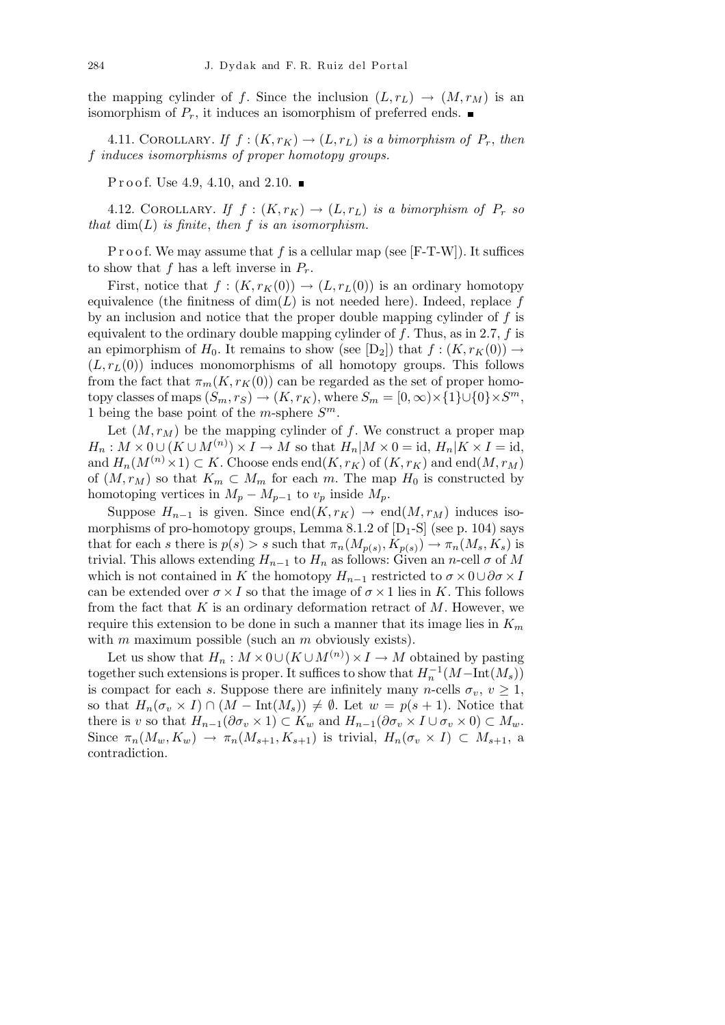the mapping cylinder of *f*. Since the inclusion  $(L, r_L) \rightarrow (M, r_M)$  is an isomorphism of  $P_r$ , it induces an isomorphism of preferred ends.  $\blacksquare$ 

4.11. COROLLARY. If  $f:(K,r_K) \to (L,r_L)$  is a bimorphism of  $P_r$ , then *f induces isomorphisms of proper homotopy groups.*

**Proof.** Use 4.9, 4.10, and 2.10.  $\blacksquare$ 

4.12. COROLLARY. If  $f:(K,r_K) \to (L,r_L)$  is a bimorphism of  $P_r$  so *that*  $dim(L)$  *is finite*, *then f is an isomorphism.* 

P r o o f. We may assume that f is a cellular map (see [F-T-W]). It suffices to show that  $f$  has a left inverse in  $P_r$ .

First, notice that  $f : (K, r_K(0)) \to (L, r_L(0))$  is an ordinary homotopy equivalence (the finitness of  $dim(L)$  is not needed here). Indeed, replace  $f$ by an inclusion and notice that the proper double mapping cylinder of *f* is equivalent to the ordinary double mapping cylinder of *f*. Thus, as in 2.7, *f* is an epimorphism of  $H_0$ . It remains to show (see  $[D_2]$ ) that  $f : (K, r_K(0)) \rightarrow$  $(L, r<sub>L</sub>(0))$  induces monomorphisms of all homotopy groups. This follows from the fact that  $\pi_m(K, r_K(0))$  can be regarded as the set of proper homotopy classes of maps  $(S_m, r_S) \to (K, r_K)$ , where  $S_m = [0, \infty) \times \{1\} \cup \{0\} \times S^m$ , 1 being the base point of the *m*-sphere  $S^m$ .

Let  $(M, r_M)$  be the mapping cylinder of  $f$ . We construct a proper map  $H_n: M \times 0 \cup (K \cup M^{(n)}) \times I \to M$  so that  $H_n|M \times 0 = id$ ,  $H_n|K \times I = id$ , and  $H_n(M^{(n)} \times 1) \subset K$ . Choose ends end $(K, r_K)$  of  $(K, r_K)$  and end $(M, r_M)$ of  $(M, r_M)$  so that  $K_m \subset M_m$  for each *m*. The map  $H_0$  is constructed by homotoping vertices in  $M_p - M_{p-1}$  to  $v_p$  inside  $M_p$ .

Suppose  $H_{n-1}$  is given. Since end $(K, r_K) \rightarrow end(M, r_M)$  induces isomorphisms of pro-homotopy groups, Lemma 8.1.2 of  $[D_1-S]$  (see p. 104) says that for each *s* there is  $p(s) > s$  such that  $\pi_n(M_{p(s)}, K_{p(s)}) \to \pi_n(M_s, K_s)$  is trivial. This allows extending  $H_{n-1}$  to  $H_n$  as follows: Given an *n*-cell  $\sigma$  of M which is not contained in *K* the homotopy  $H_{n-1}$  restricted to  $\sigma \times 0 \cup \partial \sigma \times I$ can be extended over  $\sigma \times I$  so that the image of  $\sigma \times 1$  lies in *K*. This follows from the fact that *K* is an ordinary deformation retract of *M*. However, we require this extension to be done in such a manner that its image lies in *K<sup>m</sup>* with *m* maximum possible (such an *m* obviously exists).

Let us show that  $H_n: M \times 0 \cup (K \cup M^{(n)}) \times I \to M$  obtained by pasting together such extensions is proper. It suffices to show that  $H_n^{-1}(M-\text{Int}(M_s))$ is compact for each *s*. Suppose there are infinitely many *n*-cells  $\sigma_v$ ,  $v \geq 1$ , so that  $H_n(\sigma_v \times I) \cap (M - \text{Int}(M_s)) \neq \emptyset$ . Let  $w = p(s + 1)$ . Notice that there is v so that  $H_{n-1}(\partial \sigma_v \times 1) \subset K_w$  and  $H_{n-1}(\partial \sigma_v \times I \cup \sigma_v \times 0) \subset M_w$ . Since  $\pi_n(M_w, K_w) \to \pi_n(M_{s+1}, K_{s+1})$  is trivial,  $H_n(\sigma_v \times I) \subset M_{s+1}$ , a contradiction.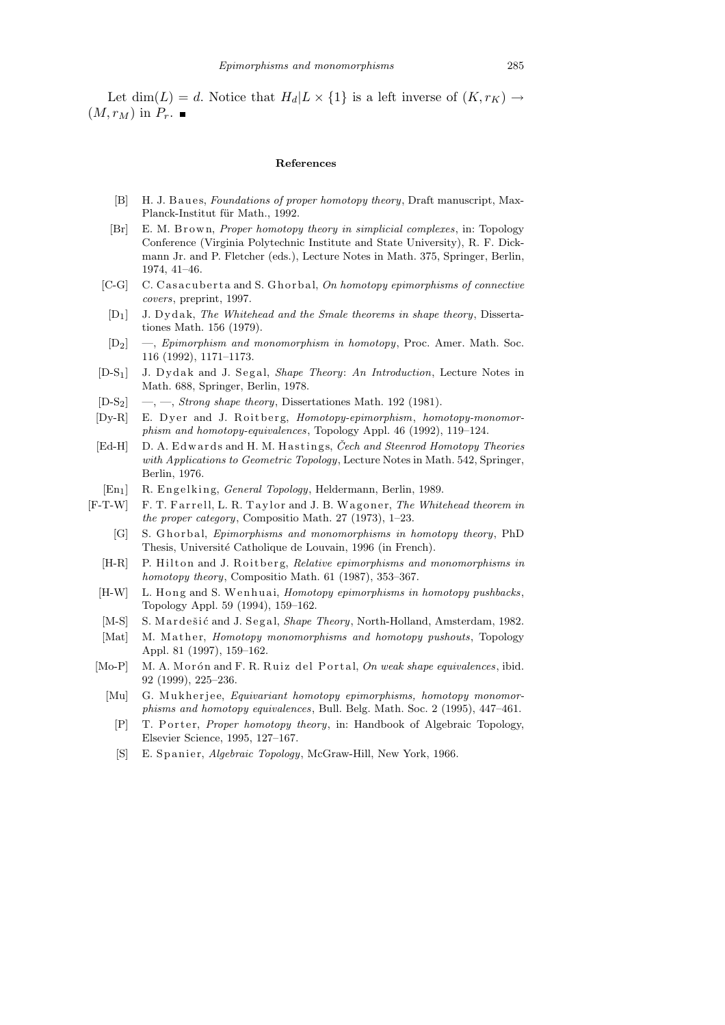Let dim(*L*) = *d*. Notice that  $H_d|L \times \{1\}$  is a left inverse of  $(K, r_K) \rightarrow$  $(M, r_M)$  in  $P_r$ .

## **References**

- [B] H. J. Baues, *Foundations of proper homotopy theory*, Draft manuscript, Max-Planck-Institut für Math., 1992.
- [Br] E. M. B r ow n, *Proper homotopy theory in simplicial complexes*, in: Topology Conference (Virginia Polytechnic Institute and State University), R. F. Dickmann Jr. and P. Fletcher (eds.), Lecture Notes in Math. 375, Springer, Berlin, 1974, 41–46.
- [C-G] C. C as a cuberta and S. G h or bal, *On homotopy epimorphisms of connective covers*, preprint, 1997.
- [D1] J. D y d a k, *The Whitehead and the Smale theorems in shape theory*, Dissertationes Math. 156 (1979).
- [D2] —, *Epimorphism and monomorphism in homotopy*, Proc. Amer. Math. Soc. 116 (1992), 1171–1173.
- [D-S1] J. D y d a k and J. S e g al, *Shape Theory*: *An Introduction*, Lecture Notes in Math. 688, Springer, Berlin, 1978.
- [D-S2] —, —, *Strong shape theory*, Dissertationes Math. 192 (1981).
- [Dy-R] E. Dyer and J. Roitberg, *Homotopy-epimorphism*, *homotopy-monomorphism and homotopy-equivalences*, Topology Appl. 46 (1992), 119–124.
- [Ed-H] D. A. Edwards and H. M. Hastings, *Čech and Steenrod Homotopy Theories with Applications to Geometric Topology*, Lecture Notes in Math. 542, Springer, Berlin, 1976.
- [En<sub>1</sub>] R. Engelking, *General Topology*, Heldermann, Berlin, 1989.
- [F-T-W] F. T. F a r r ell, L. R. T a yl o r and J. B. W a g o n e r, *The Whitehead theorem in the proper category*, Compositio Math. 27 (1973), 1–23.
	- [G] S. Ghorbal, *Epimorphisms and monomorphisms in homotopy theory*, PhD Thesis, Université Catholique de Louvain, 1996 (in French).
	- [H-R] P. Hilton and J. Roitberg, *Relative epimorphisms and monomorphisms in homotopy theory*, Compositio Math. 61 (1987), 353–367.
	- [H-W] L. Hong and S. Wenhuai, *Homotopy epimorphisms in homotopy pushbacks*, Topology Appl. 59 (1994), 159–162.
	- [M-S] S. Mardešić and J. Segal, *Shape Theory*, North-Holland, Amsterdam, 1982.
	- [Mat] M. Mather, *Homotopy monomorphisms and homotopy pushouts*, Topology Appl. 81 (1997), 159–162.
	- [Mo-P] M. A. M or on and F. R. Ruiz del Portal, *On weak shape equivalences*, ibid. 92 (1999), 225–236.
		- [Mu] G. Mukherjee, *Equivariant homotopy epimorphisms, homotopy monomorphisms and homotopy equivalences*, Bull. Belg. Math. Soc. 2 (1995), 447–461.
		- [P] T. P orter, *Proper homotopy theory*, in: Handbook of Algebraic Topology, Elsevier Science, 1995, 127–167.
		- [S] E. Spanier, *Algebraic Topology*, McGraw-Hill, New York, 1966.